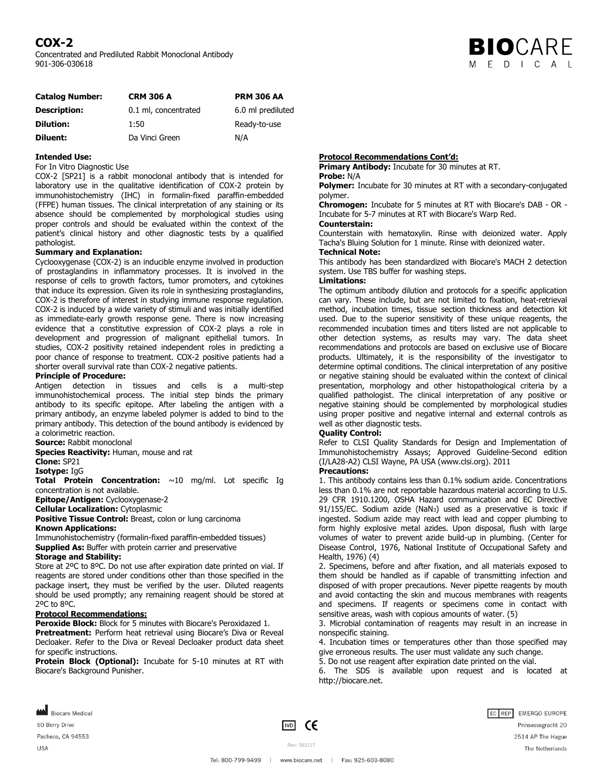# **COX-2**

Concentrated and Prediluted Rabbit Monoclonal Antibody 901-306-030618



| <b>Catalog Number:</b> | <b>CRM 306 A</b>     | <b>PRM 306 AA</b> |
|------------------------|----------------------|-------------------|
| <b>Description:</b>    | 0.1 ml, concentrated | 6.0 ml prediluted |
| <b>Dilution:</b>       | 1:50                 | Ready-to-use      |
| Diluent:               | Da Vinci Green       | N/A               |

## **Intended Use:**

For In Vitro Diagnostic Use

COX-2 [SP21] is a rabbit monoclonal antibody that is intended for laboratory use in the qualitative identification of COX-2 protein by immunohistochemistry (IHC) in formalin-fixed paraffin-embedded (FFPE) human tissues. The clinical interpretation of any staining or its absence should be complemented by morphological studies using proper controls and should be evaluated within the context of the patient's clinical history and other diagnostic tests by a qualified pathologist.

#### **Summary and Explanation:**

Cyclooxygenase (COX-2) is an inducible enzyme involved in production of prostaglandins in inflammatory processes. It is involved in the response of cells to growth factors, tumor promoters, and cytokines that induce its expression. Given its role in synthesizing prostaglandins, COX-2 is therefore of interest in studying immune response regulation. COX-2 is induced by a wide variety of stimuli and was initially identified as immediate-early growth response gene. There is now increasing evidence that a constitutive expression of COX-2 plays a role in development and progression of malignant epithelial tumors. In studies, COX-2 positivity retained independent roles in predicting a poor chance of response to treatment. COX-2 positive patients had a shorter overall survival rate than COX-2 negative patients.

#### **Principle of Procedure:**

Antigen detection in tissues and cells is a multi-step immunohistochemical process. The initial step binds the primary antibody to its specific epitope. After labeling the antigen with a primary antibody, an enzyme labeled polymer is added to bind to the primary antibody. This detection of the bound antibody is evidenced by a colorimetric reaction.

**Source:** Rabbit monoclonal

**Species Reactivity: Human, mouse and rat** 

**Clone:** SP21

**Isotype:** IgG

**Total Protein Concentration:** ~10 mg/ml. Lot specific Ig concentration is not available.

**Epitope/Antigen:** Cyclooxygenase-2

**Cellular Localization:** Cytoplasmic

**Positive Tissue Control:** Breast, colon or lung carcinoma

#### **Known Applications:**

Immunohistochemistry (formalin-fixed paraffin-embedded tissues) **Supplied As:** Buffer with protein carrier and preservative

# **Storage and Stability:**

Store at 2ºC to 8ºC. Do not use after expiration date printed on vial. If reagents are stored under conditions other than those specified in the package insert, they must be verified by the user. Diluted reagents should be used promptly; any remaining reagent should be stored at 2ºC to 8ºC.

# **Protocol Recommendations:**

**Peroxide Block:** Block for 5 minutes with Biocare's Peroxidazed 1. **Pretreatment:** Perform heat retrieval using Biocare's Diva or Reveal Decloaker. Refer to the Diva or Reveal Decloaker product data sheet for specific instructions.

**Protein Block (Optional):** Incubate for 5-10 minutes at RT with Biocare's Background Punisher.

### **Protocol Recommendations Cont'd:**

**Primary Antibody:** Incubate for 30 minutes at RT. **Probe:** N/A

#### **Polymer:** Incubate for 30 minutes at RT with a secondary-conjugated polymer.

**Chromogen:** Incubate for 5 minutes at RT with Biocare's DAB - OR - Incubate for 5-7 minutes at RT with Biocare's Warp Red.

# **Counterstain:**

Counterstain with hematoxylin. Rinse with deionized water. Apply Tacha's Bluing Solution for 1 minute. Rinse with deionized water.

**Technical Note:** This antibody has been standardized with Biocare's MACH 2 detection system. Use TBS buffer for washing steps.

# **Limitations:**

The optimum antibody dilution and protocols for a specific application can vary. These include, but are not limited to fixation, heat-retrieval method, incubation times, tissue section thickness and detection kit used. Due to the superior sensitivity of these unique reagents, the recommended incubation times and titers listed are not applicable to other detection systems, as results may vary. The data sheet recommendations and protocols are based on exclusive use of Biocare products. Ultimately, it is the responsibility of the investigator to determine optimal conditions. The clinical interpretation of any positive or negative staining should be evaluated within the context of clinical presentation, morphology and other histopathological criteria by a qualified pathologist. The clinical interpretation of any positive or negative staining should be complemented by morphological studies using proper positive and negative internal and external controls as well as other diagnostic tests.

# **Quality Control:**

Refer to CLSI Quality Standards for Design and Implementation of Immunohistochemistry Assays; Approved Guideline-Second edition (I/LA28-A2) CLSI Wayne, PA USA (www.clsi.org). 2011

# **Precautions:**

1. This antibody contains less than 0.1% sodium azide. Concentrations less than 0.1% are not reportable hazardous material according to U.S. 29 CFR 1910.1200, OSHA Hazard communication and EC Directive 91/155/EC. Sodium azide (NaN3) used as a preservative is toxic if ingested. Sodium azide may react with lead and copper plumbing to form highly explosive metal azides. Upon disposal, flush with large volumes of water to prevent azide build-up in plumbing. (Center for Disease Control, 1976, National Institute of Occupational Safety and Health, 1976) (4)

2. Specimens, before and after fixation, and all materials exposed to them should be handled as if capable of transmitting infection and disposed of with proper precautions. Never pipette reagents by mouth and avoid contacting the skin and mucous membranes with reagents and specimens. If reagents or specimens come in contact with sensitive areas, wash with copious amounts of water. (5)

3. Microbial contamination of reagents may result in an increase in nonspecific staining.

4. Incubation times or temperatures other than those specified may give erroneous results. The user must validate any such change. 5. Do not use reagent after expiration date printed on the vial.

6. The SDS is available upon request and is located at http://biocare.net.

Biocare Medical 60 Berry Drive Pacheco, CA 94553

**USA** 

 $\boxed{VD}$  CE

Rev: 062117